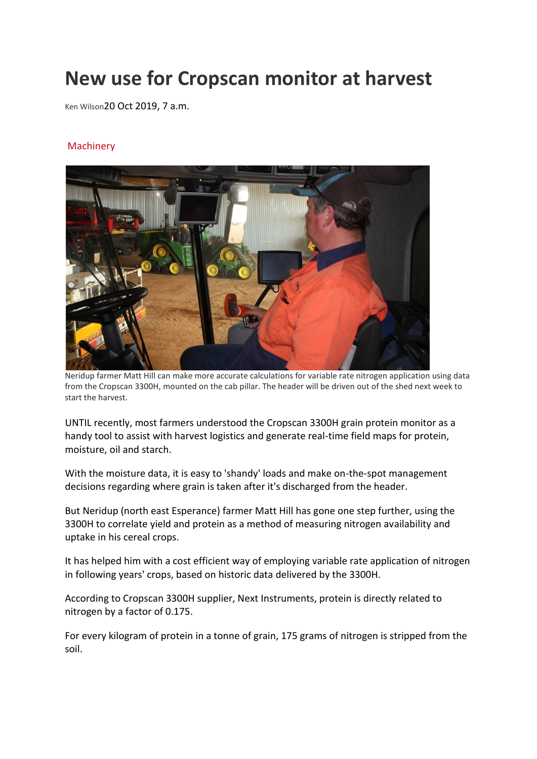## **New use for Cropscan monitor at harvest**

Ken Wilson20 Oct 2019, 7 a.m.

## **[Machinery](https://www.farmweekly.com.au/cropping/machinery/)**



Neridup farmer Matt Hill can make more accurate calculations for variable rate nitrogen application using data from the Cropscan 3300H, mounted on the cab pillar. The header will be driven out of the shed next week to start the harvest.

UNTIL recently, most farmers understood the Cropscan 3300H grain protein monitor as a handy tool to assist with harvest logistics and generate real-time field maps for protein, moisture, oil and starch.

With the moisture data, it is easy to 'shandy' loads and make on-the-spot management decisions regarding where grain is taken after it's discharged from the header.

But Neridup (north east Esperance) farmer Matt Hill has gone one step further, using the 3300H to correlate yield and protein as a method of measuring nitrogen availability and uptake in his cereal crops.

It has helped him with a cost efficient way of employing variable rate application of nitrogen in following years' crops, based on historic data delivered by the 3300H.

According to Cropscan 3300H supplier, Next Instruments, protein is directly related to nitrogen by a factor of 0.175.

For every kilogram of protein in a tonne of grain, 175 grams of nitrogen is stripped from the soil.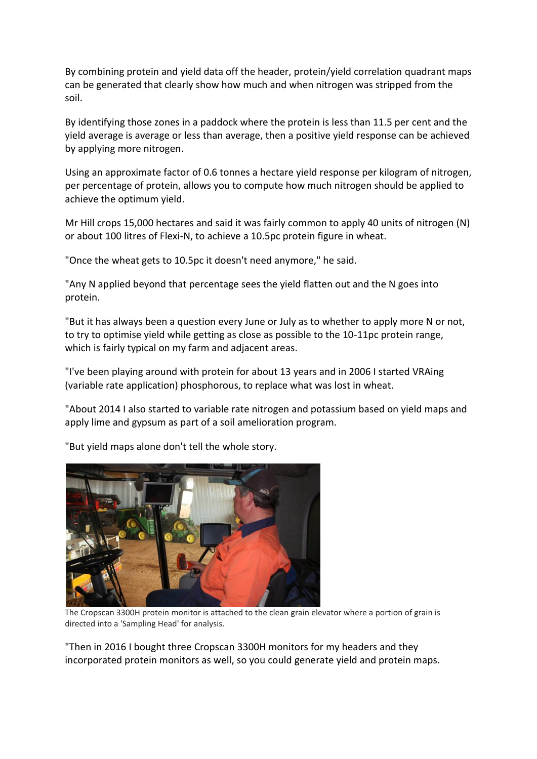By combining protein and yield data off the header, protein/yield correlation quadrant maps can be generated that clearly show how much and when nitrogen was stripped from the soil.

By identifying those zones in a paddock where the protein is less than 11.5 per cent and the yield average is average or less than average, then a positive yield response can be achieved by applying more nitrogen.

Using an approximate factor of 0.6 tonnes a hectare yield response per kilogram of nitrogen, per percentage of protein, allows you to compute how much nitrogen should be applied to achieve the optimum yield.

Mr Hill crops 15,000 hectares and said it was fairly common to apply 40 units of nitrogen (N) or about 100 litres of Flexi-N, to achieve a 10.5pc protein figure in wheat.

"Once the wheat gets to 10.5pc it doesn't need anymore," he said.

"Any N applied beyond that percentage sees the yield flatten out and the N goes into protein.

"But it has always been a question every June or July as to whether to apply more N or not, to try to optimise yield while getting as close as possible to the 10-11pc protein range, which is fairly typical on my farm and adjacent areas.

"I've been playing around with protein for about 13 years and in 2006 I started VRAing (variable rate application) phosphorous, to replace what was lost in wheat.

"About 2014 I also started to variable rate nitrogen and potassium based on yield maps and apply lime and gypsum as part of a soil amelioration program.

"But yield maps alone don't tell the whole story.



The Cropscan 3300H protein monitor is attached to the clean grain elevator where a portion of grain is directed into a 'Sampling Head' for analysis.

"Then in 2016 I bought three Cropscan 3300H monitors for my headers and they incorporated protein monitors as well, so you could generate yield and protein maps.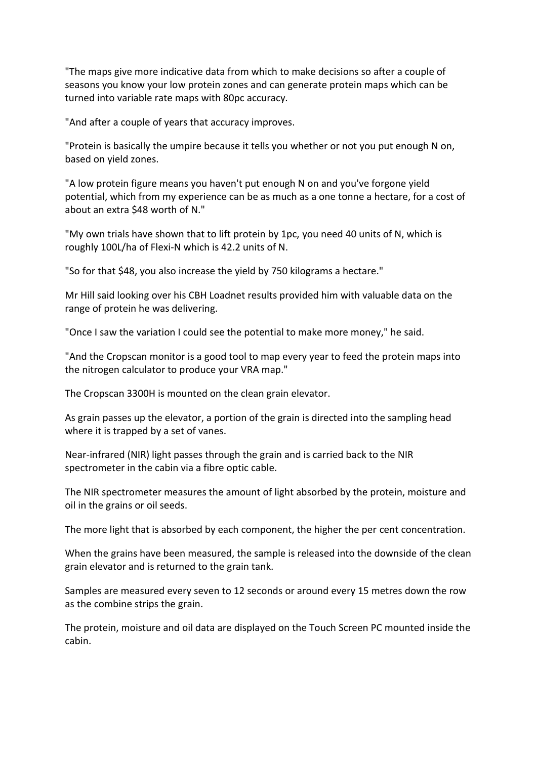"The maps give more indicative data from which to make decisions so after a couple of seasons you know your low protein zones and can generate protein maps which can be turned into variable rate maps with 80pc accuracy.

"And after a couple of years that accuracy improves.

"Protein is basically the umpire because it tells you whether or not you put enough N on, based on yield zones.

"A low protein figure means you haven't put enough N on and you've forgone yield potential, which from my experience can be as much as a one tonne a hectare, for a cost of about an extra \$48 worth of N."

"My own trials have shown that to lift protein by 1pc, you need 40 units of N, which is roughly 100L/ha of Flexi-N which is 42.2 units of N.

"So for that \$48, you also increase the yield by 750 kilograms a hectare."

Mr Hill said looking over his CBH Loadnet results provided him with valuable data on the range of protein he was delivering.

"Once I saw the variation I could see the potential to make more money," he said.

"And the Cropscan monitor is a good tool to map every year to feed the protein maps into the nitrogen calculator to produce your VRA map."

The Cropscan 3300H is mounted on the clean grain elevator.

As grain passes up the elevator, a portion of the grain is directed into the sampling head where it is trapped by a set of vanes.

Near-infrared (NIR) light passes through the grain and is carried back to the NIR spectrometer in the cabin via a fibre optic cable.

The NIR spectrometer measures the amount of light absorbed by the protein, moisture and oil in the grains or oil seeds.

The more light that is absorbed by each component, the higher the per cent concentration.

When the grains have been measured, the sample is released into the downside of the clean grain elevator and is returned to the grain tank.

Samples are measured every seven to 12 seconds or around every 15 metres down the row as the combine strips the grain.

The protein, moisture and oil data are displayed on the Touch Screen PC mounted inside the cabin.